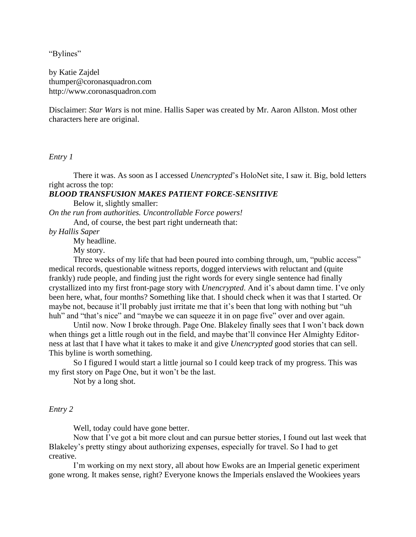"Bylines"

by Katie Zajdel thumper@coronasquadron.com http://www.coronasquadron.com

Disclaimer: *Star Wars* is not mine. Hallis Saper was created by Mr. Aaron Allston. Most other characters here are original.

*Entry 1*

There it was. As soon as I accessed *Unencrypted*'s HoloNet site, I saw it. Big, bold letters right across the top:

# *BLOOD TRANSFUSION MAKES PATIENT FORCE-SENSITIVE*

Below it, slightly smaller:

*On the run from authorities. Uncontrollable Force powers!* And, of course, the best part right underneath that:

*by Hallis Saper*

My headline.

My story.

Three weeks of my life that had been poured into combing through, um, "public access" medical records, questionable witness reports, dogged interviews with reluctant and (quite frankly) rude people, and finding just the right words for every single sentence had finally crystallized into my first front-page story with *Unencrypted*. And it's about damn time. I've only been here, what, four months? Something like that. I should check when it was that I started. Or maybe not, because it'll probably just irritate me that it's been that long with nothing but "uh huh" and "that's nice" and "maybe we can squeeze it in on page five" over and over again.

Until now. Now I broke through. Page One. Blakeley finally sees that I won't back down when things get a little rough out in the field, and maybe that'll convince Her Almighty Editorness at last that I have what it takes to make it and give *Unencrypted* good stories that can sell. This byline is worth something.

So I figured I would start a little journal so I could keep track of my progress. This was my first story on Page One, but it won't be the last.

Not by a long shot.

*Entry 2*

Well, today could have gone better.

Now that I've got a bit more clout and can pursue better stories, I found out last week that Blakeley's pretty stingy about authorizing expenses, especially for travel. So I had to get creative.

I'm working on my next story, all about how Ewoks are an Imperial genetic experiment gone wrong. It makes sense, right? Everyone knows the Imperials enslaved the Wookiees years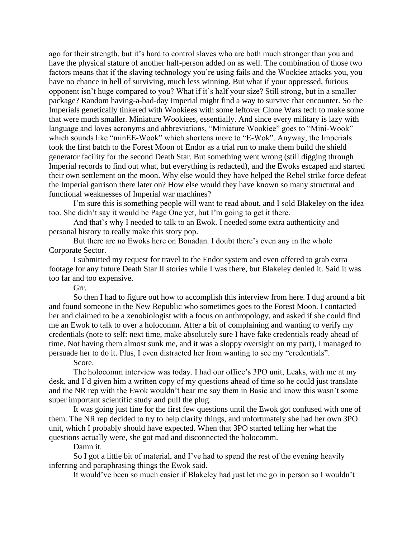ago for their strength, but it's hard to control slaves who are both much stronger than you and have the physical stature of another half-person added on as well. The combination of those two factors means that if the slaving technology you're using fails and the Wookiee attacks you, you have no chance in hell of surviving, much less winning. But what if your oppressed, furious opponent isn't huge compared to you? What if it's half your size? Still strong, but in a smaller package? Random having-a-bad-day Imperial might find a way to survive that encounter. So the Imperials genetically tinkered with Wookiees with some leftover Clone Wars tech to make some that were much smaller. Miniature Wookiees, essentially. And since every military is lazy with language and loves acronyms and abbreviations, "Miniature Wookiee" goes to "Mini-Wook" which sounds like "minEE-Wook" which shortens more to "E-Wok". Anyway, the Imperials took the first batch to the Forest Moon of Endor as a trial run to make them build the shield generator facility for the second Death Star. But something went wrong (still digging through Imperial records to find out what, but everything is redacted), and the Ewoks escaped and started their own settlement on the moon. Why else would they have helped the Rebel strike force defeat the Imperial garrison there later on? How else would they have known so many structural and functional weaknesses of Imperial war machines?

I'm sure this is something people will want to read about, and I sold Blakeley on the idea too. She didn't say it would be Page One yet, but I'm going to get it there.

And that's why I needed to talk to an Ewok. I needed some extra authenticity and personal history to really make this story pop.

But there are no Ewoks here on Bonadan. I doubt there's even any in the whole Corporate Sector.

I submitted my request for travel to the Endor system and even offered to grab extra footage for any future Death Star II stories while I was there, but Blakeley denied it. Said it was too far and too expensive.

Grr.

So then I had to figure out how to accomplish this interview from here. I dug around a bit and found someone in the New Republic who sometimes goes to the Forest Moon. I contacted her and claimed to be a xenobiologist with a focus on anthropology, and asked if she could find me an Ewok to talk to over a holocomm. After a bit of complaining and wanting to verify my credentials (note to self: next time, make absolutely sure I have fake credentials ready ahead of time. Not having them almost sunk me, and it was a sloppy oversight on my part), I managed to persuade her to do it. Plus, I even distracted her from wanting to see my "credentials".

Score.

The holocomm interview was today. I had our office's 3PO unit, Leaks, with me at my desk, and I'd given him a written copy of my questions ahead of time so he could just translate and the NR rep with the Ewok wouldn't hear me say them in Basic and know this wasn't some super important scientific study and pull the plug.

It was going just fine for the first few questions until the Ewok got confused with one of them. The NR rep decided to try to help clarify things, and unfortunately she had her own 3PO unit, which I probably should have expected. When that 3PO started telling her what the questions actually were, she got mad and disconnected the holocomm.

Damn it.

So I got a little bit of material, and I've had to spend the rest of the evening heavily inferring and paraphrasing things the Ewok said.

It would've been so much easier if Blakeley had just let me go in person so I wouldn't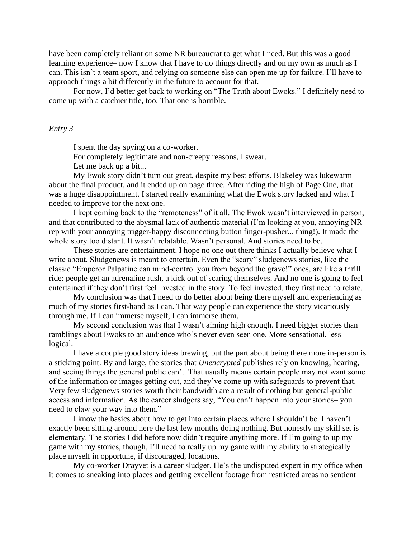have been completely reliant on some NR bureaucrat to get what I need. But this was a good learning experience– now I know that I have to do things directly and on my own as much as I can. This isn't a team sport, and relying on someone else can open me up for failure. I'll have to approach things a bit differently in the future to account for that.

For now, I'd better get back to working on "The Truth about Ewoks." I definitely need to come up with a catchier title, too. That one is horrible.

#### *Entry 3*

I spent the day spying on a co-worker.

For completely legitimate and non-creepy reasons, I swear.

Let me back up a bit...

My Ewok story didn't turn out great, despite my best efforts. Blakeley was lukewarm about the final product, and it ended up on page three. After riding the high of Page One, that was a huge disappointment. I started really examining what the Ewok story lacked and what I needed to improve for the next one.

I kept coming back to the "remoteness" of it all. The Ewok wasn't interviewed in person, and that contributed to the abysmal lack of authentic material (I'm looking at you, annoying NR rep with your annoying trigger-happy disconnecting button finger-pusher... thing!). It made the whole story too distant. It wasn't relatable. Wasn't personal. And stories need to be.

These stories are entertainment. I hope no one out there thinks I actually believe what I write about. Sludgenews is meant to entertain. Even the "scary" sludgenews stories, like the classic "Emperor Palpatine can mind-control you from beyond the grave!" ones, are like a thrill ride: people get an adrenaline rush, a kick out of scaring themselves. And no one is going to feel entertained if they don't first feel invested in the story. To feel invested, they first need to relate.

My conclusion was that I need to do better about being there myself and experiencing as much of my stories first-hand as I can. That way people can experience the story vicariously through me. If I can immerse myself, I can immerse them.

My second conclusion was that I wasn't aiming high enough. I need bigger stories than ramblings about Ewoks to an audience who's never even seen one. More sensational, less logical.

I have a couple good story ideas brewing, but the part about being there more in-person is a sticking point. By and large, the stories that *Unencrypted* publishes rely on knowing, hearing, and seeing things the general public can't. That usually means certain people may not want some of the information or images getting out, and they've come up with safeguards to prevent that. Very few sludgenews stories worth their bandwidth are a result of nothing but general-public access and information. As the career sludgers say, "You can't happen into your stories– you need to claw your way into them."

I know the basics about how to get into certain places where I shouldn't be. I haven't exactly been sitting around here the last few months doing nothing. But honestly my skill set is elementary. The stories I did before now didn't require anything more. If I'm going to up my game with my stories, though, I'll need to really up my game with my ability to strategically place myself in opportune, if discouraged, locations.

My co-worker Drayvet is a career sludger. He's the undisputed expert in my office when it comes to sneaking into places and getting excellent footage from restricted areas no sentient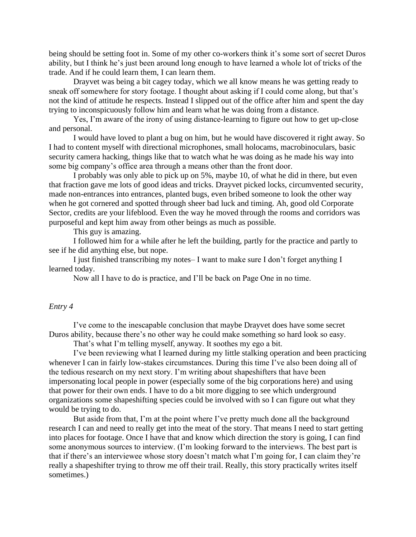being should be setting foot in. Some of my other co-workers think it's some sort of secret Duros ability, but I think he's just been around long enough to have learned a whole lot of tricks of the trade. And if he could learn them, I can learn them.

Drayvet was being a bit cagey today, which we all know means he was getting ready to sneak off somewhere for story footage. I thought about asking if I could come along, but that's not the kind of attitude he respects. Instead I slipped out of the office after him and spent the day trying to inconspicuously follow him and learn what he was doing from a distance.

Yes, I'm aware of the irony of using distance-learning to figure out how to get up-close and personal.

I would have loved to plant a bug on him, but he would have discovered it right away. So I had to content myself with directional microphones, small holocams, macrobinoculars, basic security camera hacking, things like that to watch what he was doing as he made his way into some big company's office area through a means other than the front door.

I probably was only able to pick up on 5%, maybe 10, of what he did in there, but even that fraction gave me lots of good ideas and tricks. Drayvet picked locks, circumvented security, made non-entrances into entrances, planted bugs, even bribed someone to look the other way when he got cornered and spotted through sheer bad luck and timing. Ah, good old Corporate Sector, credits are your lifeblood. Even the way he moved through the rooms and corridors was purposeful and kept him away from other beings as much as possible.

This guy is amazing.

I followed him for a while after he left the building, partly for the practice and partly to see if he did anything else, but nope.

I just finished transcribing my notes– I want to make sure I don't forget anything I learned today.

Now all I have to do is practice, and I'll be back on Page One in no time.

# *Entry 4*

I've come to the inescapable conclusion that maybe Drayvet does have some secret Duros ability, because there's no other way he could make something so hard look so easy.

That's what I'm telling myself, anyway. It soothes my ego a bit.

I've been reviewing what I learned during my little stalking operation and been practicing whenever I can in fairly low-stakes circumstances. During this time I've also been doing all of the tedious research on my next story. I'm writing about shapeshifters that have been impersonating local people in power (especially some of the big corporations here) and using that power for their own ends. I have to do a bit more digging to see which underground organizations some shapeshifting species could be involved with so I can figure out what they would be trying to do.

But aside from that, I'm at the point where I've pretty much done all the background research I can and need to really get into the meat of the story. That means I need to start getting into places for footage. Once I have that and know which direction the story is going, I can find some anonymous sources to interview. (I'm looking forward to the interviews. The best part is that if there's an interviewee whose story doesn't match what I'm going for, I can claim they're really a shapeshifter trying to throw me off their trail. Really, this story practically writes itself sometimes.)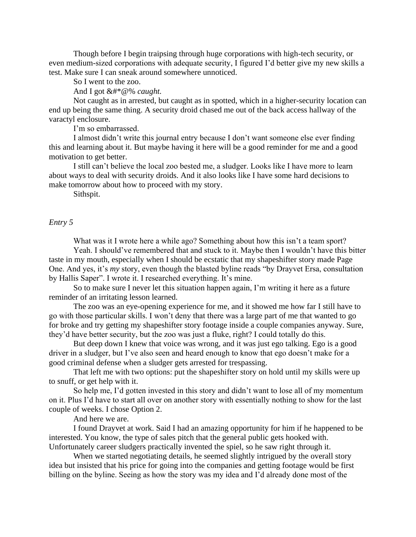Though before I begin traipsing through huge corporations with high-tech security, or even medium-sized corporations with adequate security, I figured I'd better give my new skills a test. Make sure I can sneak around somewhere unnoticed.

So I went to the zoo.

And I got &#\*@% *caught.*

Not caught as in arrested, but caught as in spotted, which in a higher-security location can end up being the same thing. A security droid chased me out of the back access hallway of the varactyl enclosure.

I'm so embarrassed.

I almost didn't write this journal entry because I don't want someone else ever finding this and learning about it. But maybe having it here will be a good reminder for me and a good motivation to get better.

I still can't believe the local zoo bested me, a sludger. Looks like I have more to learn about ways to deal with security droids. And it also looks like I have some hard decisions to make tomorrow about how to proceed with my story.

Sithspit.

#### *Entry 5*

What was it I wrote here a while ago? Something about how this isn't a team sport?

Yeah. I should've remembered that and stuck to it. Maybe then I wouldn't have this bitter taste in my mouth, especially when I should be ecstatic that my shapeshifter story made Page One. And yes, it's *my* story, even though the blasted byline reads "by Drayvet Ersa, consultation by Hallis Saper". I wrote it. I researched everything. It's mine.

So to make sure I never let this situation happen again, I'm writing it here as a future reminder of an irritating lesson learned.

The zoo was an eye-opening experience for me, and it showed me how far I still have to go with those particular skills. I won't deny that there was a large part of me that wanted to go for broke and try getting my shapeshifter story footage inside a couple companies anyway. Sure, they'd have better security, but the zoo was just a fluke, right? I could totally do this.

But deep down I knew that voice was wrong, and it was just ego talking. Ego is a good driver in a sludger, but I've also seen and heard enough to know that ego doesn't make for a good criminal defense when a sludger gets arrested for trespassing.

That left me with two options: put the shapeshifter story on hold until my skills were up to snuff, or get help with it.

So help me, I'd gotten invested in this story and didn't want to lose all of my momentum on it. Plus I'd have to start all over on another story with essentially nothing to show for the last couple of weeks. I chose Option 2.

And here we are.

I found Drayvet at work. Said I had an amazing opportunity for him if he happened to be interested. You know, the type of sales pitch that the general public gets hooked with. Unfortunately career sludgers practically invented the spiel, so he saw right through it.

When we started negotiating details, he seemed slightly intrigued by the overall story idea but insisted that his price for going into the companies and getting footage would be first billing on the byline. Seeing as how the story was my idea and I'd already done most of the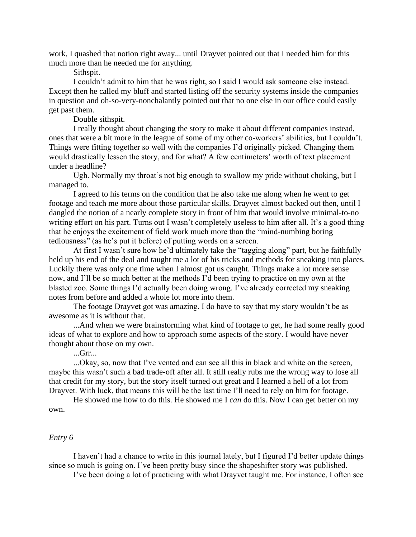work, I quashed that notion right away... until Drayvet pointed out that I needed him for this much more than he needed me for anything.

Sithspit.

I couldn't admit to him that he was right, so I said I would ask someone else instead. Except then he called my bluff and started listing off the security systems inside the companies in question and oh-so-very-nonchalantly pointed out that no one else in our office could easily get past them.

Double sithspit.

I really thought about changing the story to make it about different companies instead, ones that were a bit more in the league of some of my other co-workers' abilities, but I couldn't. Things were fitting together so well with the companies I'd originally picked. Changing them would drastically lessen the story, and for what? A few centimeters' worth of text placement under a headline?

Ugh. Normally my throat's not big enough to swallow my pride without choking, but I managed to.

I agreed to his terms on the condition that he also take me along when he went to get footage and teach me more about those particular skills. Drayvet almost backed out then, until I dangled the notion of a nearly complete story in front of him that would involve minimal-to-no writing effort on his part. Turns out I wasn't completely useless to him after all. It's a good thing that he enjoys the excitement of field work much more than the "mind-numbing boring tediousness" (as he's put it before) of putting words on a screen.

At first I wasn't sure how he'd ultimately take the "tagging along" part, but he faithfully held up his end of the deal and taught me a lot of his tricks and methods for sneaking into places. Luckily there was only one time when I almost got us caught. Things make a lot more sense now, and I'll be so much better at the methods I'd been trying to practice on my own at the blasted zoo. Some things I'd actually been doing wrong. I've already corrected my sneaking notes from before and added a whole lot more into them.

The footage Drayvet got was amazing. I do have to say that my story wouldn't be as awesome as it is without that.

...And when we were brainstorming what kind of footage to get, he had some really good ideas of what to explore and how to approach some aspects of the story. I would have never thought about those on my own.

...Grr...

...Okay, so, now that I've vented and can see all this in black and white on the screen, maybe this wasn't such a bad trade-off after all. It still really rubs me the wrong way to lose all that credit for my story, but the story itself turned out great and I learned a hell of a lot from Drayvet. With luck, that means this will be the last time I'll need to rely on him for footage.

He showed me how to do this. He showed me I *can* do this. Now I can get better on my own.

#### *Entry 6*

I haven't had a chance to write in this journal lately, but I figured I'd better update things since so much is going on. I've been pretty busy since the shapeshifter story was published.

I've been doing a lot of practicing with what Drayvet taught me. For instance, I often see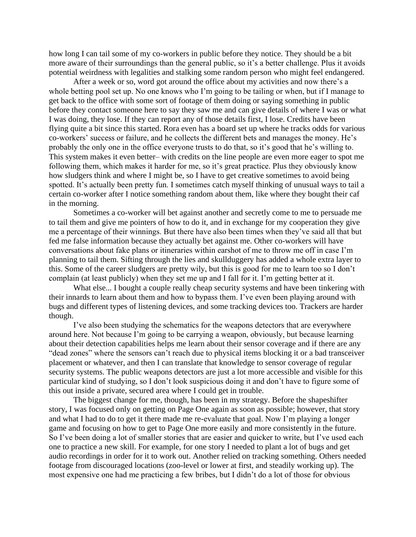how long I can tail some of my co-workers in public before they notice. They should be a bit more aware of their surroundings than the general public, so it's a better challenge. Plus it avoids potential weirdness with legalities and stalking some random person who might feel endangered.

After a week or so, word got around the office about my activities and now there's a whole betting pool set up. No one knows who I'm going to be tailing or when, but if I manage to get back to the office with some sort of footage of them doing or saying something in public before they contact someone here to say they saw me and can give details of where I was or what I was doing, they lose. If they can report any of those details first, I lose. Credits have been flying quite a bit since this started. Rora even has a board set up where he tracks odds for various co-workers' success or failure, and he collects the different bets and manages the money. He's probably the only one in the office everyone trusts to do that, so it's good that he's willing to. This system makes it even better– with credits on the line people are even more eager to spot me following them, which makes it harder for me, so it's great practice. Plus they obviously know how sludgers think and where I might be, so I have to get creative sometimes to avoid being spotted. It's actually been pretty fun. I sometimes catch myself thinking of unusual ways to tail a certain co-worker after I notice something random about them, like where they bought their caf in the morning.

Sometimes a co-worker will bet against another and secretly come to me to persuade me to tail them and give me pointers of how to do it, and in exchange for my cooperation they give me a percentage of their winnings. But there have also been times when they've said all that but fed me false information because they actually bet against me. Other co-workers will have conversations about fake plans or itineraries within earshot of me to throw me off in case I'm planning to tail them. Sifting through the lies and skullduggery has added a whole extra layer to this. Some of the career sludgers are pretty wily, but this is good for me to learn too so I don't complain (at least publicly) when they set me up and I fall for it. I'm getting better at it.

What else... I bought a couple really cheap security systems and have been tinkering with their innards to learn about them and how to bypass them. I've even been playing around with bugs and different types of listening devices, and some tracking devices too. Trackers are harder though.

I've also been studying the schematics for the weapons detectors that are everywhere around here. Not because I'm going to be carrying a weapon, obviously, but because learning about their detection capabilities helps me learn about their sensor coverage and if there are any "dead zones" where the sensors can't reach due to physical items blocking it or a bad transceiver placement or whatever, and then I can translate that knowledge to sensor coverage of regular security systems. The public weapons detectors are just a lot more accessible and visible for this particular kind of studying, so I don't look suspicious doing it and don't have to figure some of this out inside a private, secured area where I could get in trouble.

The biggest change for me, though, has been in my strategy. Before the shapeshifter story, I was focused only on getting on Page One again as soon as possible; however, that story and what I had to do to get it there made me re-evaluate that goal. Now I'm playing a longer game and focusing on how to get to Page One more easily and more consistently in the future. So I've been doing a lot of smaller stories that are easier and quicker to write, but I've used each one to practice a new skill. For example, for one story I needed to plant a lot of bugs and get audio recordings in order for it to work out. Another relied on tracking something. Others needed footage from discouraged locations (zoo-level or lower at first, and steadily working up). The most expensive one had me practicing a few bribes, but I didn't do a lot of those for obvious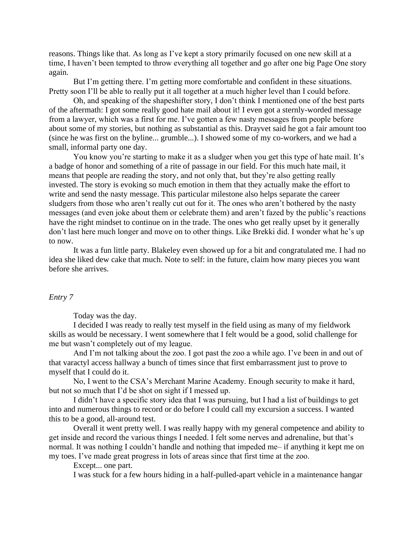reasons. Things like that. As long as I've kept a story primarily focused on one new skill at a time, I haven't been tempted to throw everything all together and go after one big Page One story again.

But I'm getting there. I'm getting more comfortable and confident in these situations. Pretty soon I'll be able to really put it all together at a much higher level than I could before.

Oh, and speaking of the shapeshifter story, I don't think I mentioned one of the best parts of the aftermath: I got some really good hate mail about it! I even got a sternly-worded message from a lawyer, which was a first for me. I've gotten a few nasty messages from people before about some of my stories, but nothing as substantial as this. Drayvet said he got a fair amount too (since he was first on the byline... grumble...). I showed some of my co-workers, and we had a small, informal party one day.

You know you're starting to make it as a sludger when you get this type of hate mail. It's a badge of honor and something of a rite of passage in our field. For this much hate mail, it means that people are reading the story, and not only that, but they're also getting really invested. The story is evoking so much emotion in them that they actually make the effort to write and send the nasty message. This particular milestone also helps separate the career sludgers from those who aren't really cut out for it. The ones who aren't bothered by the nasty messages (and even joke about them or celebrate them) and aren't fazed by the public's reactions have the right mindset to continue on in the trade. The ones who get really upset by it generally don't last here much longer and move on to other things. Like Brekki did. I wonder what he's up to now.

It was a fun little party. Blakeley even showed up for a bit and congratulated me. I had no idea she liked dew cake that much. Note to self: in the future, claim how many pieces you want before she arrives.

# *Entry 7*

Today was the day.

I decided I was ready to really test myself in the field using as many of my fieldwork skills as would be necessary. I went somewhere that I felt would be a good, solid challenge for me but wasn't completely out of my league.

And I'm not talking about the zoo. I got past the zoo a while ago. I've been in and out of that varactyl access hallway a bunch of times since that first embarrassment just to prove to myself that I could do it.

No, I went to the CSA's Merchant Marine Academy. Enough security to make it hard, but not so much that I'd be shot on sight if I messed up.

I didn't have a specific story idea that I was pursuing, but I had a list of buildings to get into and numerous things to record or do before I could call my excursion a success. I wanted this to be a good, all-around test.

Overall it went pretty well. I was really happy with my general competence and ability to get inside and record the various things I needed. I felt some nerves and adrenaline, but that's normal. It was nothing I couldn't handle and nothing that impeded me– if anything it kept me on my toes. I've made great progress in lots of areas since that first time at the zoo.

Except... one part.

I was stuck for a few hours hiding in a half-pulled-apart vehicle in a maintenance hangar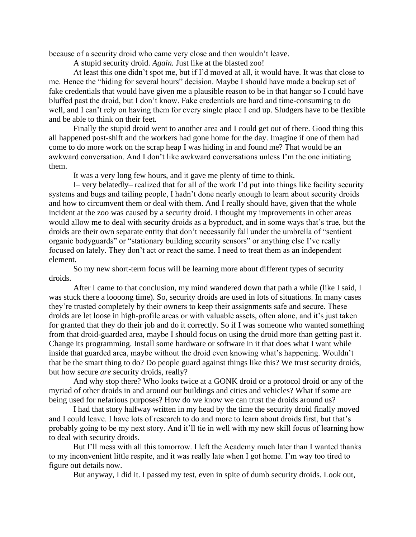because of a security droid who came very close and then wouldn't leave.

A stupid security droid. *Again.* Just like at the blasted zoo!

At least this one didn't spot me, but if I'd moved at all, it would have. It was that close to me. Hence the "hiding for several hours" decision. Maybe I should have made a backup set of fake credentials that would have given me a plausible reason to be in that hangar so I could have bluffed past the droid, but I don't know. Fake credentials are hard and time-consuming to do well, and I can't rely on having them for every single place I end up. Sludgers have to be flexible and be able to think on their feet.

Finally the stupid droid went to another area and I could get out of there. Good thing this all happened post-shift and the workers had gone home for the day. Imagine if one of them had come to do more work on the scrap heap I was hiding in and found me? That would be an awkward conversation. And I don't like awkward conversations unless I'm the one initiating them.

It was a very long few hours, and it gave me plenty of time to think.

I– very belatedly– realized that for all of the work I'd put into things like facility security systems and bugs and tailing people, I hadn't done nearly enough to learn about security droids and how to circumvent them or deal with them. And I really should have, given that the whole incident at the zoo was caused by a security droid. I thought my improvements in other areas would allow me to deal with security droids as a byproduct, and in some ways that's true, but the droids are their own separate entity that don't necessarily fall under the umbrella of "sentient organic bodyguards" or "stationary building security sensors" or anything else I've really focused on lately. They don't act or react the same. I need to treat them as an independent element.

So my new short-term focus will be learning more about different types of security droids.

After I came to that conclusion, my mind wandered down that path a while (like I said, I was stuck there a loooong time). So, security droids are used in lots of situations. In many cases they're trusted completely by their owners to keep their assignments safe and secure. These droids are let loose in high-profile areas or with valuable assets, often alone, and it's just taken for granted that they do their job and do it correctly. So if I was someone who wanted something from that droid-guarded area, maybe I should focus on using the droid more than getting past it. Change its programming. Install some hardware or software in it that does what I want while inside that guarded area, maybe without the droid even knowing what's happening. Wouldn't that be the smart thing to do? Do people guard against things like this? We trust security droids, but how secure *are* security droids, really?

And why stop there? Who looks twice at a GONK droid or a protocol droid or any of the myriad of other droids in and around our buildings and cities and vehicles? What if some are being used for nefarious purposes? How do we know we can trust the droids around us?

I had that story halfway written in my head by the time the security droid finally moved and I could leave. I have lots of research to do and more to learn about droids first, but that's probably going to be my next story. And it'll tie in well with my new skill focus of learning how to deal with security droids.

But I'll mess with all this tomorrow. I left the Academy much later than I wanted thanks to my inconvenient little respite, and it was really late when I got home. I'm way too tired to figure out details now.

But anyway, I did it. I passed my test, even in spite of dumb security droids. Look out,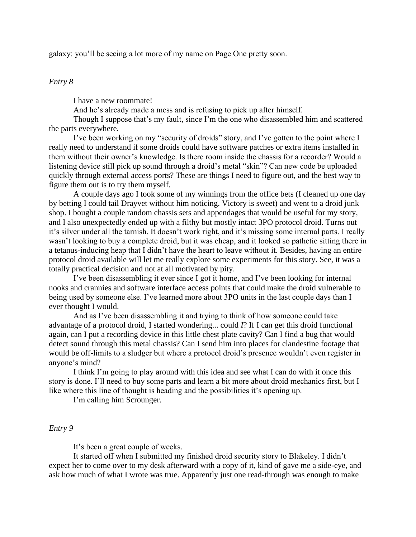galaxy: you'll be seeing a lot more of my name on Page One pretty soon.

# *Entry 8*

I have a new roommate!

And he's already made a mess and is refusing to pick up after himself.

Though I suppose that's my fault, since I'm the one who disassembled him and scattered the parts everywhere.

I've been working on my "security of droids" story, and I've gotten to the point where I really need to understand if some droids could have software patches or extra items installed in them without their owner's knowledge. Is there room inside the chassis for a recorder? Would a listening device still pick up sound through a droid's metal "skin"? Can new code be uploaded quickly through external access ports? These are things I need to figure out, and the best way to figure them out is to try them myself.

A couple days ago I took some of my winnings from the office bets (I cleaned up one day by betting I could tail Drayvet without him noticing. Victory is sweet) and went to a droid junk shop. I bought a couple random chassis sets and appendages that would be useful for my story, and I also unexpectedly ended up with a filthy but mostly intact 3PO protocol droid. Turns out it's silver under all the tarnish. It doesn't work right, and it's missing some internal parts. I really wasn't looking to buy a complete droid, but it was cheap, and it looked so pathetic sitting there in a tetanus-inducing heap that I didn't have the heart to leave without it. Besides, having an entire protocol droid available will let me really explore some experiments for this story. See, it was a totally practical decision and not at all motivated by pity.

I've been disassembling it ever since I got it home, and I've been looking for internal nooks and crannies and software interface access points that could make the droid vulnerable to being used by someone else. I've learned more about 3PO units in the last couple days than I ever thought I would.

And as I've been disassembling it and trying to think of how someone could take advantage of a protocol droid, I started wondering... could *I*? If I can get this droid functional again, can I put a recording device in this little chest plate cavity? Can I find a bug that would detect sound through this metal chassis? Can I send him into places for clandestine footage that would be off-limits to a sludger but where a protocol droid's presence wouldn't even register in anyone's mind?

I think I'm going to play around with this idea and see what I can do with it once this story is done. I'll need to buy some parts and learn a bit more about droid mechanics first, but I like where this line of thought is heading and the possibilities it's opening up.

I'm calling him Scrounger.

### *Entry 9*

It's been a great couple of weeks.

It started off when I submitted my finished droid security story to Blakeley. I didn't expect her to come over to my desk afterward with a copy of it, kind of gave me a side-eye, and ask how much of what I wrote was true. Apparently just one read-through was enough to make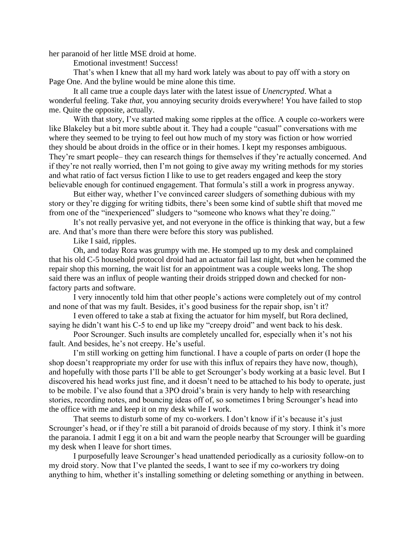her paranoid of her little MSE droid at home.

Emotional investment! Success!

That's when I knew that all my hard work lately was about to pay off with a story on Page One. And the byline would be mine alone this time.

It all came true a couple days later with the latest issue of *Unencrypted*. What a wonderful feeling. Take *that*, you annoying security droids everywhere! You have failed to stop me. Quite the opposite, actually.

With that story, I've started making some ripples at the office. A couple co-workers were like Blakeley but a bit more subtle about it. They had a couple "casual" conversations with me where they seemed to be trying to feel out how much of my story was fiction or how worried they should be about droids in the office or in their homes. I kept my responses ambiguous. They're smart people– they can research things for themselves if they're actually concerned. And if they're not really worried, then I'm not going to give away my writing methods for my stories and what ratio of fact versus fiction I like to use to get readers engaged and keep the story believable enough for continued engagement. That formula's still a work in progress anyway.

But either way, whether I've convinced career sludgers of something dubious with my story or they're digging for writing tidbits, there's been some kind of subtle shift that moved me from one of the "inexperienced" sludgers to "someone who knows what they're doing."

It's not really pervasive yet, and not everyone in the office is thinking that way, but a few are. And that's more than there were before this story was published.

Like I said, ripples.

Oh, and today Rora was grumpy with me. He stomped up to my desk and complained that his old C-5 household protocol droid had an actuator fail last night, but when he commed the repair shop this morning, the wait list for an appointment was a couple weeks long. The shop said there was an influx of people wanting their droids stripped down and checked for nonfactory parts and software.

I very innocently told him that other people's actions were completely out of my control and none of that was my fault. Besides, it's good business for the repair shop, isn't it?

I even offered to take a stab at fixing the actuator for him myself, but Rora declined, saying he didn't want his C-5 to end up like my "creepy droid" and went back to his desk.

Poor Scrounger. Such insults are completely uncalled for, especially when it's not his fault. And besides, he's not creepy. He's useful.

I'm still working on getting him functional. I have a couple of parts on order (I hope the shop doesn't reappropriate my order for use with this influx of repairs they have now, though), and hopefully with those parts I'll be able to get Scrounger's body working at a basic level. But I discovered his head works just fine, and it doesn't need to be attached to his body to operate, just to be mobile. I've also found that a 3PO droid's brain is very handy to help with researching stories, recording notes, and bouncing ideas off of, so sometimes I bring Scrounger's head into the office with me and keep it on my desk while I work.

That seems to disturb some of my co-workers. I don't know if it's because it's just Scrounger's head, or if they're still a bit paranoid of droids because of my story. I think it's more the paranoia. I admit I egg it on a bit and warn the people nearby that Scrounger will be guarding my desk when I leave for short times.

I purposefully leave Scrounger's head unattended periodically as a curiosity follow-on to my droid story. Now that I've planted the seeds, I want to see if my co-workers try doing anything to him, whether it's installing something or deleting something or anything in between.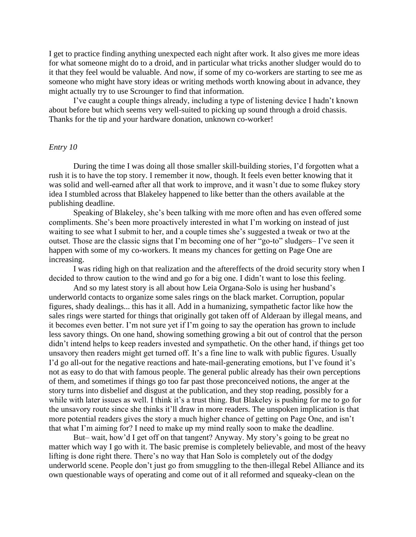I get to practice finding anything unexpected each night after work. It also gives me more ideas for what someone might do to a droid, and in particular what tricks another sludger would do to it that they feel would be valuable. And now, if some of my co-workers are starting to see me as someone who might have story ideas or writing methods worth knowing about in advance, they might actually try to use Scrounger to find that information.

I've caught a couple things already, including a type of listening device I hadn't known about before but which seems very well-suited to picking up sound through a droid chassis. Thanks for the tip and your hardware donation, unknown co-worker!

### *Entry 10*

During the time I was doing all those smaller skill-building stories, I'd forgotten what a rush it is to have the top story. I remember it now, though. It feels even better knowing that it was solid and well-earned after all that work to improve, and it wasn't due to some flukey story idea I stumbled across that Blakeley happened to like better than the others available at the publishing deadline.

Speaking of Blakeley, she's been talking with me more often and has even offered some compliments. She's been more proactively interested in what I'm working on instead of just waiting to see what I submit to her, and a couple times she's suggested a tweak or two at the outset. Those are the classic signs that I'm becoming one of her "go-to" sludgers– I've seen it happen with some of my co-workers. It means my chances for getting on Page One are increasing.

I was riding high on that realization and the aftereffects of the droid security story when I decided to throw caution to the wind and go for a big one. I didn't want to lose this feeling.

And so my latest story is all about how Leia Organa-Solo is using her husband's underworld contacts to organize some sales rings on the black market. Corruption, popular figures, shady dealings... this has it all. Add in a humanizing, sympathetic factor like how the sales rings were started for things that originally got taken off of Alderaan by illegal means, and it becomes even better. I'm not sure yet if I'm going to say the operation has grown to include less savory things. On one hand, showing something growing a bit out of control that the person didn't intend helps to keep readers invested and sympathetic. On the other hand, if things get too unsavory then readers might get turned off. It's a fine line to walk with public figures. Usually I'd go all-out for the negative reactions and hate-mail-generating emotions, but I've found it's not as easy to do that with famous people. The general public already has their own perceptions of them, and sometimes if things go too far past those preconceived notions, the anger at the story turns into disbelief and disgust at the publication, and they stop reading, possibly for a while with later issues as well. I think it's a trust thing. But Blakeley is pushing for me to go for the unsavory route since she thinks it'll draw in more readers. The unspoken implication is that more potential readers gives the story a much higher chance of getting on Page One, and isn't that what I'm aiming for? I need to make up my mind really soon to make the deadline.

But– wait, how'd I get off on that tangent? Anyway. My story's going to be great no matter which way I go with it. The basic premise is completely believable, and most of the heavy lifting is done right there. There's no way that Han Solo is completely out of the dodgy underworld scene. People don't just go from smuggling to the then-illegal Rebel Alliance and its own questionable ways of operating and come out of it all reformed and squeaky-clean on the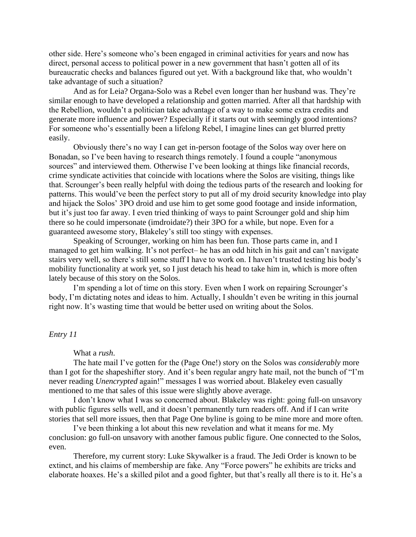other side. Here's someone who's been engaged in criminal activities for years and now has direct, personal access to political power in a new government that hasn't gotten all of its bureaucratic checks and balances figured out yet. With a background like that, who wouldn't take advantage of such a situation?

And as for Leia? Organa-Solo was a Rebel even longer than her husband was. They're similar enough to have developed a relationship and gotten married. After all that hardship with the Rebellion, wouldn't a politician take advantage of a way to make some extra credits and generate more influence and power? Especially if it starts out with seemingly good intentions? For someone who's essentially been a lifelong Rebel, I imagine lines can get blurred pretty easily.

Obviously there's no way I can get in-person footage of the Solos way over here on Bonadan, so I've been having to research things remotely. I found a couple "anonymous sources" and interviewed them. Otherwise I've been looking at things like financial records, crime syndicate activities that coincide with locations where the Solos are visiting, things like that. Scrounger's been really helpful with doing the tedious parts of the research and looking for patterns. This would've been the perfect story to put all of my droid security knowledge into play and hijack the Solos' 3PO droid and use him to get some good footage and inside information, but it's just too far away. I even tried thinking of ways to paint Scrounger gold and ship him there so he could impersonate (imdroidate?) their 3PO for a while, but nope. Even for a guaranteed awesome story, Blakeley's still too stingy with expenses.

Speaking of Scrounger, working on him has been fun. Those parts came in, and I managed to get him walking. It's not perfect– he has an odd hitch in his gait and can't navigate stairs very well, so there's still some stuff I have to work on. I haven't trusted testing his body's mobility functionality at work yet, so I just detach his head to take him in, which is more often lately because of this story on the Solos.

I'm spending a lot of time on this story. Even when I work on repairing Scrounger's body, I'm dictating notes and ideas to him. Actually, I shouldn't even be writing in this journal right now. It's wasting time that would be better used on writing about the Solos.

#### *Entry 11*

What a *rush*.

The hate mail I've gotten for the (Page One!) story on the Solos was *considerably* more than I got for the shapeshifter story. And it's been regular angry hate mail, not the bunch of "I'm never reading *Unencrypted* again!" messages I was worried about. Blakeley even casually mentioned to me that sales of this issue were slightly above average.

I don't know what I was so concerned about. Blakeley was right: going full-on unsavory with public figures sells well, and it doesn't permanently turn readers off. And if I can write stories that sell more issues, then that Page One byline is going to be mine more and more often.

I've been thinking a lot about this new revelation and what it means for me. My conclusion: go full-on unsavory with another famous public figure. One connected to the Solos, even.

Therefore, my current story: Luke Skywalker is a fraud. The Jedi Order is known to be extinct, and his claims of membership are fake. Any "Force powers" he exhibits are tricks and elaborate hoaxes. He's a skilled pilot and a good fighter, but that's really all there is to it. He's a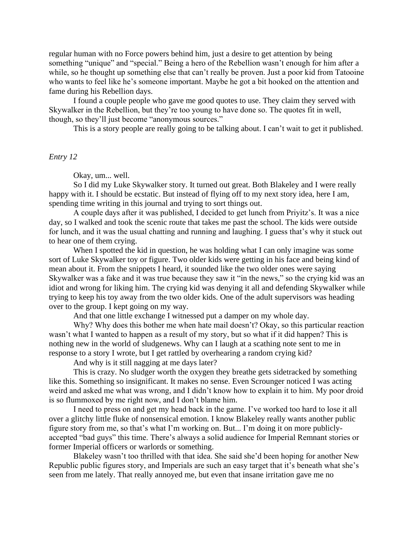regular human with no Force powers behind him, just a desire to get attention by being something "unique" and "special." Being a hero of the Rebellion wasn't enough for him after a while, so he thought up something else that can't really be proven. Just a poor kid from Tatooine who wants to feel like he's someone important. Maybe he got a bit hooked on the attention and fame during his Rebellion days.

I found a couple people who gave me good quotes to use. They claim they served with Skywalker in the Rebellion, but they're too young to have done so. The quotes fit in well, though, so they'll just become "anonymous sources."

This is a story people are really going to be talking about. I can't wait to get it published.

#### *Entry 12*

Okay, um... well.

So I did my Luke Skywalker story. It turned out great. Both Blakeley and I were really happy with it. I should be ecstatic. But instead of flying off to my next story idea, here I am, spending time writing in this journal and trying to sort things out.

A couple days after it was published, I decided to get lunch from Priyitz's. It was a nice day, so I walked and took the scenic route that takes me past the school. The kids were outside for lunch, and it was the usual chatting and running and laughing. I guess that's why it stuck out to hear one of them crying.

When I spotted the kid in question, he was holding what I can only imagine was some sort of Luke Skywalker toy or figure. Two older kids were getting in his face and being kind of mean about it. From the snippets I heard, it sounded like the two older ones were saying Skywalker was a fake and it was true because they saw it "in the news," so the crying kid was an idiot and wrong for liking him. The crying kid was denying it all and defending Skywalker while trying to keep his toy away from the two older kids. One of the adult supervisors was heading over to the group. I kept going on my way.

And that one little exchange I witnessed put a damper on my whole day.

Why? Why does this bother me when hate mail doesn't? Okay, so this particular reaction wasn't what I wanted to happen as a result of my story, but so what if it did happen? This is nothing new in the world of sludgenews. Why can I laugh at a scathing note sent to me in response to a story I wrote, but I get rattled by overhearing a random crying kid?

And why is it still nagging at me days later?

This is crazy. No sludger worth the oxygen they breathe gets sidetracked by something like this. Something so insignificant. It makes no sense. Even Scrounger noticed I was acting weird and asked me what was wrong, and I didn't know how to explain it to him. My poor droid is so flummoxed by me right now, and I don't blame him.

I need to press on and get my head back in the game. I've worked too hard to lose it all over a glitchy little fluke of nonsensical emotion. I know Blakeley really wants another public figure story from me, so that's what I'm working on. But... I'm doing it on more publiclyaccepted "bad guys" this time. There's always a solid audience for Imperial Remnant stories or former Imperial officers or warlords or something.

Blakeley wasn't too thrilled with that idea. She said she'd been hoping for another New Republic public figures story, and Imperials are such an easy target that it's beneath what she's seen from me lately. That really annoyed me, but even that insane irritation gave me no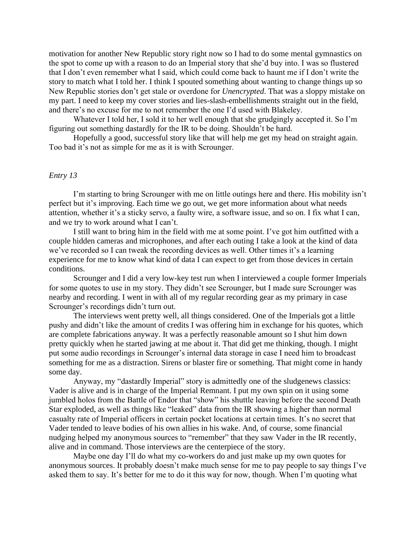motivation for another New Republic story right now so I had to do some mental gymnastics on the spot to come up with a reason to do an Imperial story that she'd buy into. I was so flustered that I don't even remember what I said, which could come back to haunt me if I don't write the story to match what I told her. I think I spouted something about wanting to change things up so New Republic stories don't get stale or overdone for *Unencrypted*. That was a sloppy mistake on my part. I need to keep my cover stories and lies-slash-embellishments straight out in the field, and there's no excuse for me to not remember the one I'd used with Blakeley.

Whatever I told her, I sold it to her well enough that she grudgingly accepted it. So I'm figuring out something dastardly for the IR to be doing. Shouldn't be hard.

Hopefully a good, successful story like that will help me get my head on straight again. Too bad it's not as simple for me as it is with Scrounger.

#### *Entry 13*

I'm starting to bring Scrounger with me on little outings here and there. His mobility isn't perfect but it's improving. Each time we go out, we get more information about what needs attention, whether it's a sticky servo, a faulty wire, a software issue, and so on. I fix what I can, and we try to work around what I can't.

I still want to bring him in the field with me at some point. I've got him outfitted with a couple hidden cameras and microphones, and after each outing I take a look at the kind of data we've recorded so I can tweak the recording devices as well. Other times it's a learning experience for me to know what kind of data I can expect to get from those devices in certain conditions.

Scrounger and I did a very low-key test run when I interviewed a couple former Imperials for some quotes to use in my story. They didn't see Scrounger, but I made sure Scrounger was nearby and recording. I went in with all of my regular recording gear as my primary in case Scrounger's recordings didn't turn out.

The interviews went pretty well, all things considered. One of the Imperials got a little pushy and didn't like the amount of credits I was offering him in exchange for his quotes, which are complete fabrications anyway. It was a perfectly reasonable amount so I shut him down pretty quickly when he started jawing at me about it. That did get me thinking, though. I might put some audio recordings in Scrounger's internal data storage in case I need him to broadcast something for me as a distraction. Sirens or blaster fire or something. That might come in handy some day.

Anyway, my "dastardly Imperial" story is admittedly one of the sludgenews classics: Vader is alive and is in charge of the Imperial Remnant. I put my own spin on it using some jumbled holos from the Battle of Endor that "show" his shuttle leaving before the second Death Star exploded, as well as things like "leaked" data from the IR showing a higher than normal casualty rate of Imperial officers in certain pocket locations at certain times. It's no secret that Vader tended to leave bodies of his own allies in his wake. And, of course, some financial nudging helped my anonymous sources to "remember" that they saw Vader in the IR recently, alive and in command. Those interviews are the centerpiece of the story.

Maybe one day I'll do what my co-workers do and just make up my own quotes for anonymous sources. It probably doesn't make much sense for me to pay people to say things I've asked them to say. It's better for me to do it this way for now, though. When I'm quoting what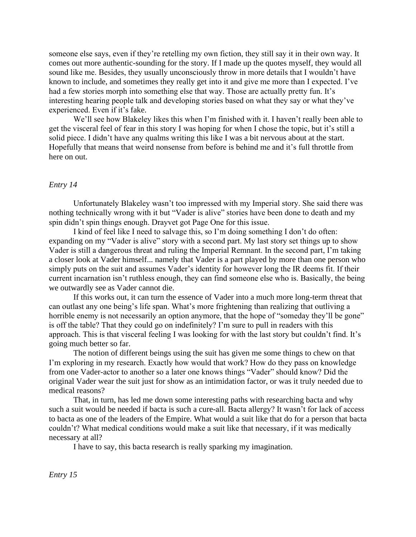someone else says, even if they're retelling my own fiction, they still say it in their own way. It comes out more authentic-sounding for the story. If I made up the quotes myself, they would all sound like me. Besides, they usually unconsciously throw in more details that I wouldn't have known to include, and sometimes they really get into it and give me more than I expected. I've had a few stories morph into something else that way. Those are actually pretty fun. It's interesting hearing people talk and developing stories based on what they say or what they've experienced. Even if it's fake.

We'll see how Blakeley likes this when I'm finished with it. I haven't really been able to get the visceral feel of fear in this story I was hoping for when I chose the topic, but it's still a solid piece. I didn't have any qualms writing this like I was a bit nervous about at the start. Hopefully that means that weird nonsense from before is behind me and it's full throttle from here on out.

#### *Entry 14*

Unfortunately Blakeley wasn't too impressed with my Imperial story. She said there was nothing technically wrong with it but "Vader is alive" stories have been done to death and my spin didn't spin things enough. Drayvet got Page One for this issue.

I kind of feel like I need to salvage this, so I'm doing something I don't do often: expanding on my "Vader is alive" story with a second part. My last story set things up to show Vader is still a dangerous threat and ruling the Imperial Remnant. In the second part, I'm taking a closer look at Vader himself... namely that Vader is a part played by more than one person who simply puts on the suit and assumes Vader's identity for however long the IR deems fit. If their current incarnation isn't ruthless enough, they can find someone else who is. Basically, the being we outwardly see as Vader cannot die.

If this works out, it can turn the essence of Vader into a much more long-term threat that can outlast any one being's life span. What's more frightening than realizing that outliving a horrible enemy is not necessarily an option anymore, that the hope of "someday they'll be gone" is off the table? That they could go on indefinitely? I'm sure to pull in readers with this approach. This is that visceral feeling I was looking for with the last story but couldn't find. It's going much better so far.

The notion of different beings using the suit has given me some things to chew on that I'm exploring in my research. Exactly how would that work? How do they pass on knowledge from one Vader-actor to another so a later one knows things "Vader" should know? Did the original Vader wear the suit just for show as an intimidation factor, or was it truly needed due to medical reasons?

That, in turn, has led me down some interesting paths with researching bacta and why such a suit would be needed if bacta is such a cure-all. Bacta allergy? It wasn't for lack of access to bacta as one of the leaders of the Empire. What would a suit like that do for a person that bacta couldn't? What medical conditions would make a suit like that necessary, if it was medically necessary at all?

I have to say, this bacta research is really sparking my imagination.

*Entry 15*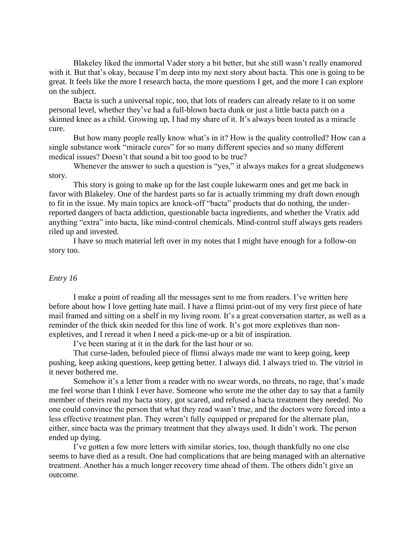Blakeley liked the immortal Vader story a bit better, but she still wasn't really enamored with it. But that's okay, because I'm deep into my next story about bacta. This one is going to be great. It feels like the more I research bacta, the more questions I get, and the more I can explore on the subject.

Bacta is such a universal topic, too, that lots of readers can already relate to it on some personal level, whether they've had a full-blown bacta dunk or just a little bacta patch on a skinned knee as a child. Growing up, I had my share of it. It's always been touted as a miracle cure.

But how many people really know what's in it? How is the quality controlled? How can a single substance work "miracle cures" for so many different species and so many different medical issues? Doesn't that sound a bit too good to be true?

Whenever the answer to such a question is "yes," it always makes for a great sludgenews story.

This story is going to make up for the last couple lukewarm ones and get me back in favor with Blakeley. One of the hardest parts so far is actually trimming my draft down enough to fit in the issue. My main topics are knock-off "bacta" products that do nothing, the underreported dangers of bacta addiction, questionable bacta ingredients, and whether the Vratix add anything "extra" into bacta, like mind-control chemicals. Mind-control stuff always gets readers riled up and invested.

I have so much material left over in my notes that I might have enough for a follow-on story too.

#### *Entry 16*

I make a point of reading all the messages sent to me from readers. I've written here before about how I love getting hate mail. I have a flimsi print-out of my very first piece of hate mail framed and sitting on a shelf in my living room. It's a great conversation starter, as well as a reminder of the thick skin needed for this line of work. It's got more expletives than nonexpletives, and I reread it when I need a pick-me-up or a bit of inspiration.

I've been staring at it in the dark for the last hour or so.

That curse-laden, befouled piece of flimsi always made me want to keep going, keep pushing, keep asking questions, keep getting better. I always did. I always tried to. The vitriol in it never bothered me.

Somehow it's a letter from a reader with no swear words, no threats, no rage, that's made me feel worse than I think I ever have. Someone who wrote me the other day to say that a family member of theirs read my bacta story, got scared, and refused a bacta treatment they needed. No one could convince the person that what they read wasn't true, and the doctors were forced into a less effective treatment plan. They weren't fully equipped or prepared for the alternate plan, either, since bacta was the primary treatment that they always used. It didn't work. The person ended up dying.

I've gotten a few more letters with similar stories, too, though thankfully no one else seems to have died as a result. One had complications that are being managed with an alternative treatment. Another has a much longer recovery time ahead of them. The others didn't give an outcome.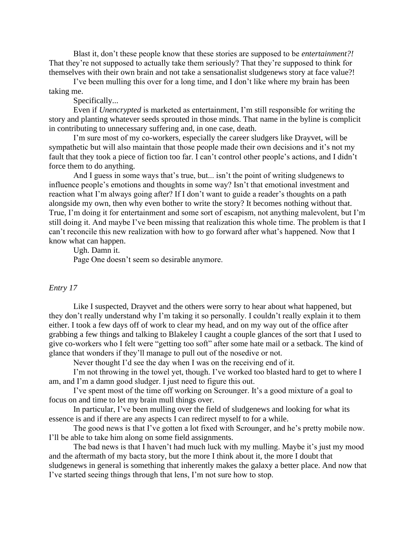Blast it, don't these people know that these stories are supposed to be *entertainment?!* That they're not supposed to actually take them seriously? That they're supposed to think for themselves with their own brain and not take a sensationalist sludgenews story at face value?!

I've been mulling this over for a long time, and I don't like where my brain has been taking me.

Specifically...

Even if *Unencrypted* is marketed as entertainment, I'm still responsible for writing the story and planting whatever seeds sprouted in those minds. That name in the byline is complicit in contributing to unnecessary suffering and, in one case, death.

I'm sure most of my co-workers, especially the career sludgers like Drayvet, will be sympathetic but will also maintain that those people made their own decisions and it's not my fault that they took a piece of fiction too far. I can't control other people's actions, and I didn't force them to do anything.

And I guess in some ways that's true, but... isn't the point of writing sludgenews to influence people's emotions and thoughts in some way? Isn't that emotional investment and reaction what I'm always going after? If I don't want to guide a reader's thoughts on a path alongside my own, then why even bother to write the story? It becomes nothing without that. True, I'm doing it for entertainment and some sort of escapism, not anything malevolent, but I'm still doing it. And maybe I've been missing that realization this whole time. The problem is that I can't reconcile this new realization with how to go forward after what's happened. Now that I know what can happen.

Ugh. Damn it. Page One doesn't seem so desirable anymore.

# *Entry 17*

Like I suspected, Drayvet and the others were sorry to hear about what happened, but they don't really understand why I'm taking it so personally. I couldn't really explain it to them either. I took a few days off of work to clear my head, and on my way out of the office after grabbing a few things and talking to Blakeley I caught a couple glances of the sort that I used to give co-workers who I felt were "getting too soft" after some hate mail or a setback. The kind of glance that wonders if they'll manage to pull out of the nosedive or not.

Never thought I'd see the day when I was on the receiving end of it.

I'm not throwing in the towel yet, though. I've worked too blasted hard to get to where I am, and I'm a damn good sludger. I just need to figure this out.

I've spent most of the time off working on Scrounger. It's a good mixture of a goal to focus on and time to let my brain mull things over.

In particular, I've been mulling over the field of sludgenews and looking for what its essence is and if there are any aspects I can redirect myself to for a while.

The good news is that I've gotten a lot fixed with Scrounger, and he's pretty mobile now. I'll be able to take him along on some field assignments.

The bad news is that I haven't had much luck with my mulling. Maybe it's just my mood and the aftermath of my bacta story, but the more I think about it, the more I doubt that sludgenews in general is something that inherently makes the galaxy a better place. And now that I've started seeing things through that lens, I'm not sure how to stop.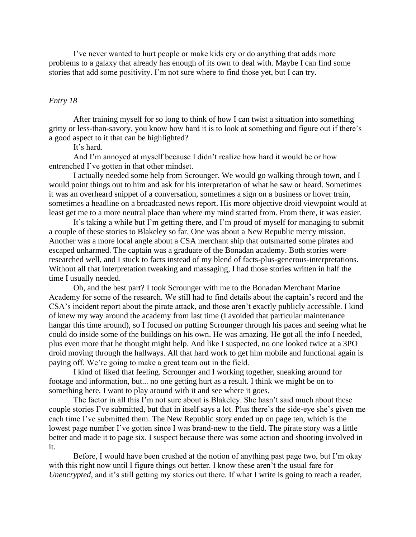I've never wanted to hurt people or make kids cry or do anything that adds more problems to a galaxy that already has enough of its own to deal with. Maybe I can find some stories that add some positivity. I'm not sure where to find those yet, but I can try.

### *Entry 18*

After training myself for so long to think of how I can twist a situation into something gritty or less-than-savory, you know how hard it is to look at something and figure out if there's a good aspect to it that can be highlighted?

It's hard.

And I'm annoyed at myself because I didn't realize how hard it would be or how entrenched I've gotten in that other mindset.

I actually needed some help from Scrounger. We would go walking through town, and I would point things out to him and ask for his interpretation of what he saw or heard. Sometimes it was an overheard snippet of a conversation, sometimes a sign on a business or hover train, sometimes a headline on a broadcasted news report. His more objective droid viewpoint would at least get me to a more neutral place than where my mind started from. From there, it was easier.

It's taking a while but I'm getting there, and I'm proud of myself for managing to submit a couple of these stories to Blakeley so far. One was about a New Republic mercy mission. Another was a more local angle about a CSA merchant ship that outsmarted some pirates and escaped unharmed. The captain was a graduate of the Bonadan academy. Both stories were researched well, and I stuck to facts instead of my blend of facts-plus-generous-interpretations. Without all that interpretation tweaking and massaging, I had those stories written in half the time I usually needed.

Oh, and the best part? I took Scrounger with me to the Bonadan Merchant Marine Academy for some of the research. We still had to find details about the captain's record and the CSA's incident report about the pirate attack, and those aren't exactly publicly accessible. I kind of knew my way around the academy from last time (I avoided that particular maintenance hangar this time around), so I focused on putting Scrounger through his paces and seeing what he could do inside some of the buildings on his own. He was amazing. He got all the info I needed, plus even more that he thought might help. And like I suspected, no one looked twice at a 3PO droid moving through the hallways. All that hard work to get him mobile and functional again is paying off. We're going to make a great team out in the field.

I kind of liked that feeling. Scrounger and I working together, sneaking around for footage and information, but... no one getting hurt as a result. I think we might be on to something here. I want to play around with it and see where it goes.

The factor in all this I'm not sure about is Blakeley. She hasn't said much about these couple stories I've submitted, but that in itself says a lot. Plus there's the side-eye she's given me each time I've submitted them. The New Republic story ended up on page ten, which is the lowest page number I've gotten since I was brand-new to the field. The pirate story was a little better and made it to page six. I suspect because there was some action and shooting involved in it.

Before, I would have been crushed at the notion of anything past page two, but I'm okay with this right now until I figure things out better. I know these aren't the usual fare for *Unencrypted*, and it's still getting my stories out there. If what I write is going to reach a reader,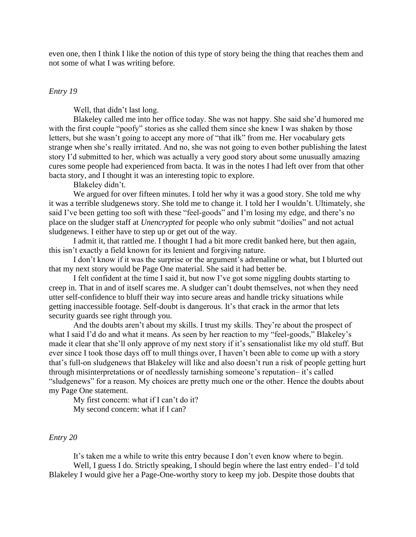even one, then I think I like the notion of this type of story being the thing that reaches them and not some of what I was writing before.

#### *Entry 19*

Well, that didn't last long.

Blakeley called me into her office today. She was not happy. She said she'd humored me with the first couple "poofy" stories as she called them since she knew I was shaken by those letters, but she wasn't going to accept any more of "that ilk" from me. Her vocabulary gets strange when she's really irritated. And no, she was not going to even bother publishing the latest story I'd submitted to her, which was actually a very good story about some unusually amazing cures some people had experienced from bacta. It was in the notes I had left over from that other bacta story, and I thought it was an interesting topic to explore.

Blakeley didn't.

We argued for over fifteen minutes. I told her why it was a good story. She told me why it was a terrible sludgenews story. She told me to change it. I told her I wouldn't. Ultimately, she said I've been getting too soft with these "feel-goods" and I'm losing my edge, and there's no place on the sludger staff at *Unencrypted* for people who only submit "doilies" and not actual sludgenews. I either have to step up or get out of the way.

I admit it, that rattled me. I thought I had a bit more credit banked here, but then again, this isn't exactly a field known for its lenient and forgiving nature.

I don't know if it was the surprise or the argument's adrenaline or what, but I blurted out that my next story would be Page One material. She said it had better be.

I felt confident at the time I said it, but now I've got some niggling doubts starting to creep in. That in and of itself scares me. A sludger can't doubt themselves, not when they need utter self-confidence to bluff their way into secure areas and handle tricky situations while getting inaccessible footage. Self-doubt is dangerous. It's that crack in the armor that lets security guards see right through you.

And the doubts aren't about my skills. I trust my skills. They're about the prospect of what I said I'd do and what it means. As seen by her reaction to my "feel-goods," Blakeley's made it clear that she'll only approve of my next story if it's sensationalist like my old stuff. But ever since I took those days off to mull things over, I haven't been able to come up with a story that's full-on sludgenews that Blakeley will like and also doesn't run a risk of people getting hurt through misinterpretations or of needlessly tarnishing someone's reputation– it's called "sludgenews" for a reason. My choices are pretty much one or the other. Hence the doubts about my Page One statement.

My first concern: what if I can't do it? My second concern: what if I can?

#### *Entry 20*

It's taken me a while to write this entry because I don't even know where to begin. Well, I guess I do. Strictly speaking, I should begin where the last entry ended– I'd told Blakeley I would give her a Page-One-worthy story to keep my job. Despite those doubts that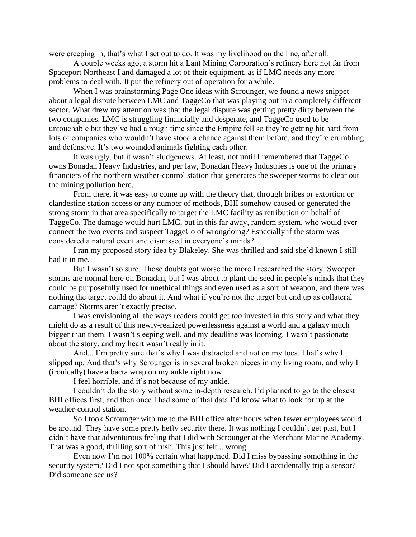were creeping in, that's what I set out to do. It was my livelihood on the line, after all.

A couple weeks ago, a storm hit a Lant Mining Corporation's refinery here not far from Spaceport Northeast I and damaged a lot of their equipment, as if LMC needs any more problems to deal with. It put the refinery out of operation for a while.

When I was brainstorming Page One ideas with Scrounger, we found a news snippet about a legal dispute between LMC and TaggeCo that was playing out in a completely different sector. What drew my attention was that the legal dispute was getting pretty dirty between the two companies. LMC is struggling financially and desperate, and TaggeCo used to be untouchable but they've had a rough time since the Empire fell so they're getting hit hard from lots of companies who wouldn't have stood a chance against them before, and they're crumbling and defensive. It's two wounded animals fighting each other.

It was ugly, but it wasn't sludgenews. At least, not until I remembered that TaggeCo owns Bonadan Heavy Industries, and per law, Bonadan Heavy Industries is one of the primary financiers of the northern weather-control station that generates the sweeper storms to clear out the mining pollution here.

From there, it was easy to come up with the theory that, through bribes or extortion or clandestine station access or any number of methods, BHI somehow caused or generated the strong storm in that area specifically to target the LMC facility as retribution on behalf of TaggeCo. The damage would hurt LMC, but in this far away, random system, who would ever connect the two events and suspect TaggeCo of wrongdoing? Especially if the storm was considered a natural event and dismissed in everyone's minds?

I ran my proposed story idea by Blakeley. She was thrilled and said she'd known I still had it in me.

But I wasn't so sure. Those doubts got worse the more I researched the story. Sweeper storms are normal here on Bonadan, but I was about to plant the seed in people's minds that they could be purposefully used for unethical things and even used as a sort of weapon, and there was nothing the target could do about it. And what if you're not the target but end up as collateral damage? Storms aren't exactly precise.

I was envisioning all the ways readers could get *too* invested in this story and what they might do as a result of this newly-realized powerlessness against a world and a galaxy much bigger than them. I wasn't sleeping well, and my deadline was looming. I wasn't passionate about the story, and my heart wasn't really in it.

And... I'm pretty sure that's why I was distracted and not on my toes. That's why I slipped up. And that's why Scrounger is in several broken pieces in my living room, and why I (ironically) have a bacta wrap on my ankle right now.

I feel horrible, and it's not because of my ankle.

I couldn't do the story without some in-depth research. I'd planned to go to the closest BHI offices first, and then once I had some of that data I'd know what to look for up at the weather-control station.

So I took Scrounger with me to the BHI office after hours when fewer employees would be around. They have some pretty hefty security there. It was nothing I couldn't get past, but I didn't have that adventurous feeling that I did with Scrounger at the Merchant Marine Academy. That was a good, thrilling sort of rush. This just felt... wrong.

Even now I'm not 100% certain what happened. Did I miss bypassing something in the security system? Did I not spot something that I should have? Did I accidentally trip a sensor? Did someone see us?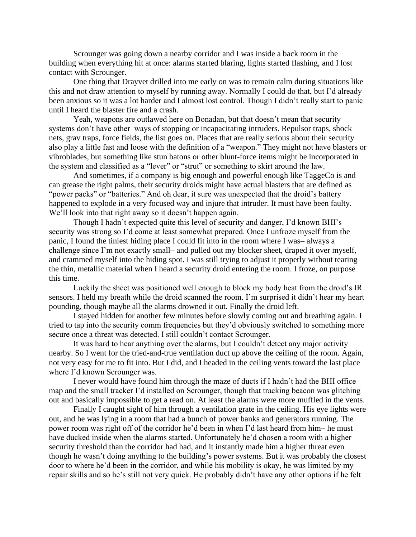Scrounger was going down a nearby corridor and I was inside a back room in the building when everything hit at once: alarms started blaring, lights started flashing, and I lost contact with Scrounger.

One thing that Drayvet drilled into me early on was to remain calm during situations like this and not draw attention to myself by running away. Normally I could do that, but I'd already been anxious so it was a lot harder and I almost lost control. Though I didn't really start to panic until I heard the blaster fire and a crash.

Yeah, weapons are outlawed here on Bonadan, but that doesn't mean that security systems don't have other ways of stopping or incapacitating intruders. Repulsor traps, shock nets, grav traps, force fields, the list goes on. Places that are really serious about their security also play a little fast and loose with the definition of a "weapon." They might not have blasters or vibroblades, but something like stun batons or other blunt-force items might be incorporated in the system and classified as a "lever" or "strut" or something to skirt around the law.

And sometimes, if a company is big enough and powerful enough like TaggeCo is and can grease the right palms, their security droids might have actual blasters that are defined as "power packs" or "batteries." And oh dear, it sure was unexpected that the droid's battery happened to explode in a very focused way and injure that intruder. It must have been faulty. We'll look into that right away so it doesn't happen again.

Though I hadn't expected quite this level of security and danger, I'd known BHI's security was strong so I'd come at least somewhat prepared. Once I unfroze myself from the panic, I found the tiniest hiding place I could fit into in the room where I was– always a challenge since I'm not exactly small– and pulled out my blocker sheet, draped it over myself, and crammed myself into the hiding spot. I was still trying to adjust it properly without tearing the thin, metallic material when I heard a security droid entering the room. I froze, on purpose this time.

Luckily the sheet was positioned well enough to block my body heat from the droid's IR sensors. I held my breath while the droid scanned the room. I'm surprised it didn't hear my heart pounding, though maybe all the alarms drowned it out. Finally the droid left.

I stayed hidden for another few minutes before slowly coming out and breathing again. I tried to tap into the security comm frequencies but they'd obviously switched to something more secure once a threat was detected. I still couldn't contact Scrounger.

It was hard to hear anything over the alarms, but I couldn't detect any major activity nearby. So I went for the tried-and-true ventilation duct up above the ceiling of the room. Again, not very easy for me to fit into. But I did, and I headed in the ceiling vents toward the last place where I'd known Scrounger was.

I never would have found him through the maze of ducts if I hadn't had the BHI office map and the small tracker I'd installed on Scrounger, though that tracking beacon was glitching out and basically impossible to get a read on. At least the alarms were more muffled in the vents.

Finally I caught sight of him through a ventilation grate in the ceiling. His eye lights were out, and he was lying in a room that had a bunch of power banks and generators running. The power room was right off of the corridor he'd been in when I'd last heard from him– he must have ducked inside when the alarms started. Unfortunately he'd chosen a room with a higher security threshold than the corridor had had, and it instantly made him a higher threat even though he wasn't doing anything to the building's power systems. But it was probably the closest door to where he'd been in the corridor, and while his mobility is okay, he was limited by my repair skills and so he's still not very quick. He probably didn't have any other options if he felt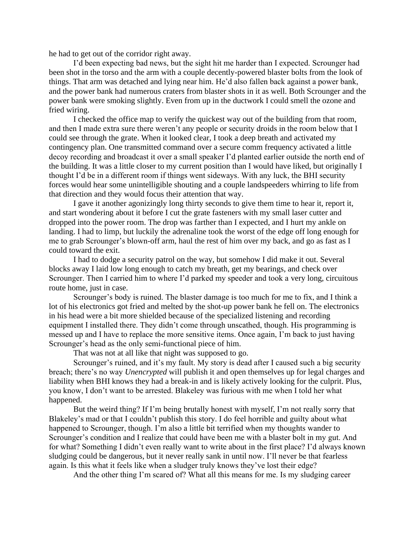he had to get out of the corridor right away.

I'd been expecting bad news, but the sight hit me harder than I expected. Scrounger had been shot in the torso and the arm with a couple decently-powered blaster bolts from the look of things. That arm was detached and lying near him. He'd also fallen back against a power bank, and the power bank had numerous craters from blaster shots in it as well. Both Scrounger and the power bank were smoking slightly. Even from up in the ductwork I could smell the ozone and fried wiring.

I checked the office map to verify the quickest way out of the building from that room, and then I made extra sure there weren't any people or security droids in the room below that I could see through the grate. When it looked clear, I took a deep breath and activated my contingency plan. One transmitted command over a secure comm frequency activated a little decoy recording and broadcast it over a small speaker I'd planted earlier outside the north end of the building. It was a little closer to my current position than I would have liked, but originally I thought I'd be in a different room if things went sideways. With any luck, the BHI security forces would hear some unintelligible shouting and a couple landspeeders whirring to life from that direction and they would focus their attention that way.

I gave it another agonizingly long thirty seconds to give them time to hear it, report it, and start wondering about it before I cut the grate fasteners with my small laser cutter and dropped into the power room. The drop was farther than I expected, and I hurt my ankle on landing. I had to limp, but luckily the adrenaline took the worst of the edge off long enough for me to grab Scrounger's blown-off arm, haul the rest of him over my back, and go as fast as I could toward the exit.

I had to dodge a security patrol on the way, but somehow I did make it out. Several blocks away I laid low long enough to catch my breath, get my bearings, and check over Scrounger. Then I carried him to where I'd parked my speeder and took a very long, circuitous route home, just in case.

Scrounger's body is ruined. The blaster damage is too much for me to fix, and I think a lot of his electronics got fried and melted by the shot-up power bank he fell on. The electronics in his head were a bit more shielded because of the specialized listening and recording equipment I installed there. They didn't come through unscathed, though. His programming is messed up and I have to replace the more sensitive items. Once again, I'm back to just having Scrounger's head as the only semi-functional piece of him.

That was not at all like that night was supposed to go.

Scrounger's ruined, and it's my fault. My story is dead after I caused such a big security breach; there's no way *Unencrypted* will publish it and open themselves up for legal charges and liability when BHI knows they had a break-in and is likely actively looking for the culprit. Plus, you know, I don't want to be arrested. Blakeley was furious with me when I told her what happened.

But the weird thing? If I'm being brutally honest with myself, I'm not really sorry that Blakeley's mad or that I couldn't publish this story. I do feel horrible and guilty about what happened to Scrounger, though. I'm also a little bit terrified when my thoughts wander to Scrounger's condition and I realize that could have been me with a blaster bolt in my gut. And for what? Something I didn't even really want to write about in the first place? I'd always known sludging could be dangerous, but it never really sank in until now. I'll never be that fearless again. Is this what it feels like when a sludger truly knows they've lost their edge?

And the other thing I'm scared of? What all this means for me. Is my sludging career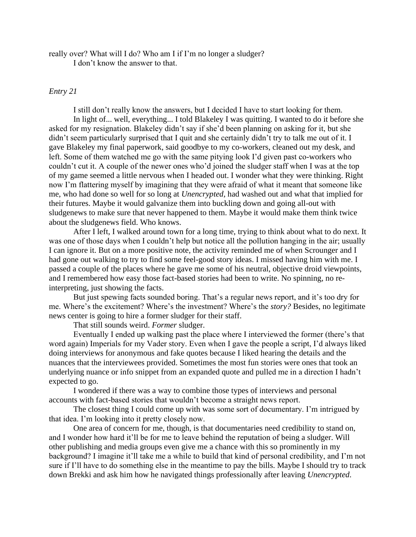really over? What will I do? Who am I if I'm no longer a sludger? I don't know the answer to that.

### *Entry 21*

I still don't really know the answers, but I decided I have to start looking for them. In light of... well, everything... I told Blakeley I was quitting. I wanted to do it before she asked for my resignation. Blakeley didn't say if she'd been planning on asking for it, but she didn't seem particularly surprised that I quit and she certainly didn't try to talk me out of it. I gave Blakeley my final paperwork, said goodbye to my co-workers, cleaned out my desk, and left. Some of them watched me go with the same pitying look I'd given past co-workers who couldn't cut it. A couple of the newer ones who'd joined the sludger staff when I was at the top of my game seemed a little nervous when I headed out. I wonder what they were thinking. Right now I'm flattering myself by imagining that they were afraid of what it meant that someone like me, who had done so well for so long at *Unencrypted*, had washed out and what that implied for their futures. Maybe it would galvanize them into buckling down and going all-out with sludgenews to make sure that never happened to them. Maybe it would make them think twice about the sludgenews field. Who knows.

After I left, I walked around town for a long time, trying to think about what to do next. It was one of those days when I couldn't help but notice all the pollution hanging in the air; usually I can ignore it. But on a more positive note, the activity reminded me of when Scrounger and I had gone out walking to try to find some feel-good story ideas. I missed having him with me. I passed a couple of the places where he gave me some of his neutral, objective droid viewpoints, and I remembered how easy those fact-based stories had been to write. No spinning, no reinterpreting, just showing the facts.

But just spewing facts sounded boring. That's a regular news report, and it's too dry for me. Where's the excitement? Where's the investment? Where's the *story?* Besides, no legitimate news center is going to hire a former sludger for their staff.

That still sounds weird. *Former* sludger.

Eventually I ended up walking past the place where I interviewed the former (there's that word again) Imperials for my Vader story. Even when I gave the people a script, I'd always liked doing interviews for anonymous and fake quotes because I liked hearing the details and the nuances that the interviewees provided. Sometimes the most fun stories were ones that took an underlying nuance or info snippet from an expanded quote and pulled me in a direction I hadn't expected to go.

I wondered if there was a way to combine those types of interviews and personal accounts with fact-based stories that wouldn't become a straight news report.

The closest thing I could come up with was some sort of documentary. I'm intrigued by that idea. I'm looking into it pretty closely now.

One area of concern for me, though, is that documentaries need credibility to stand on, and I wonder how hard it'll be for me to leave behind the reputation of being a sludger. Will other publishing and media groups even give me a chance with this so prominently in my background? I imagine it'll take me a while to build that kind of personal credibility, and I'm not sure if I'll have to do something else in the meantime to pay the bills. Maybe I should try to track down Brekki and ask him how he navigated things professionally after leaving *Unencrypted*.